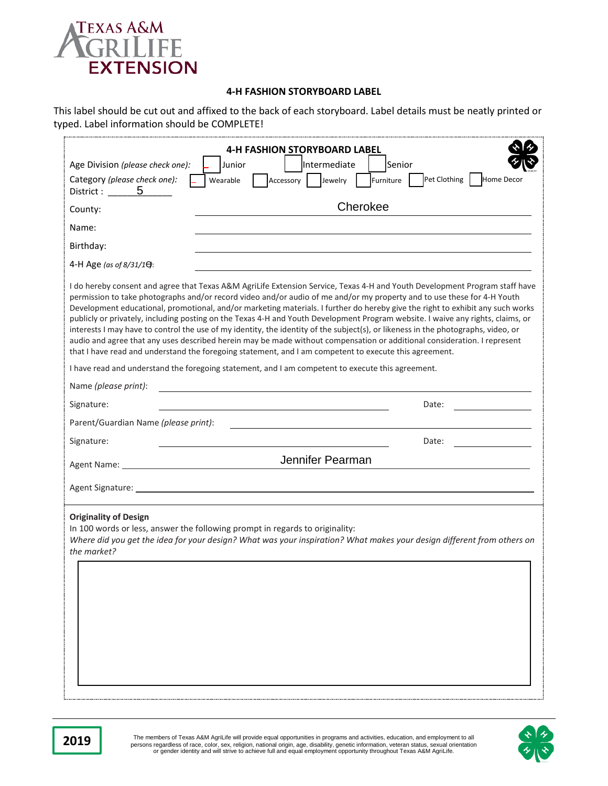

## **4-H FASHION STORYBOARD LABEL**

This label should be cut out and affixed to the back of each storyboard. Label details must be neatly printed or typed. Label information should be COMPLETE!

| Age Division (please check one):<br>Category (please check one):<br>District : 5                                                                                                                                               | <b>4-H FASHION STORYBOARD LABEL</b><br>Intermediate<br>Senior<br>Junior<br>Pet Clothing<br>Home Decor<br>Jewelry<br>Furniture<br>Wearable<br>Accessory                                                                                                                                                                                                                                                                                                                                                                                                                                                                                                                                                                                                                                                                                                                                                 |  |  |  |  |
|--------------------------------------------------------------------------------------------------------------------------------------------------------------------------------------------------------------------------------|--------------------------------------------------------------------------------------------------------------------------------------------------------------------------------------------------------------------------------------------------------------------------------------------------------------------------------------------------------------------------------------------------------------------------------------------------------------------------------------------------------------------------------------------------------------------------------------------------------------------------------------------------------------------------------------------------------------------------------------------------------------------------------------------------------------------------------------------------------------------------------------------------------|--|--|--|--|
| County:                                                                                                                                                                                                                        | Cherokee                                                                                                                                                                                                                                                                                                                                                                                                                                                                                                                                                                                                                                                                                                                                                                                                                                                                                               |  |  |  |  |
| Name:                                                                                                                                                                                                                          |                                                                                                                                                                                                                                                                                                                                                                                                                                                                                                                                                                                                                                                                                                                                                                                                                                                                                                        |  |  |  |  |
| Birthday:                                                                                                                                                                                                                      |                                                                                                                                                                                                                                                                                                                                                                                                                                                                                                                                                                                                                                                                                                                                                                                                                                                                                                        |  |  |  |  |
| 4-H Age (as of 8/31/1):                                                                                                                                                                                                        |                                                                                                                                                                                                                                                                                                                                                                                                                                                                                                                                                                                                                                                                                                                                                                                                                                                                                                        |  |  |  |  |
|                                                                                                                                                                                                                                | I do hereby consent and agree that Texas A&M AgriLife Extension Service, Texas 4-H and Youth Development Program staff have<br>permission to take photographs and/or record video and/or audio of me and/or my property and to use these for 4-H Youth<br>Development educational, promotional, and/or marketing materials. I further do hereby give the right to exhibit any such works<br>publicly or privately, including posting on the Texas 4-H and Youth Development Program website. I waive any rights, claims, or<br>interests I may have to control the use of my identity, the identity of the subject(s), or likeness in the photographs, video, or<br>audio and agree that any uses described herein may be made without compensation or additional consideration. I represent<br>that I have read and understand the foregoing statement, and I am competent to execute this agreement. |  |  |  |  |
|                                                                                                                                                                                                                                | I have read and understand the foregoing statement, and I am competent to execute this agreement.                                                                                                                                                                                                                                                                                                                                                                                                                                                                                                                                                                                                                                                                                                                                                                                                      |  |  |  |  |
| Name (please print):                                                                                                                                                                                                           |                                                                                                                                                                                                                                                                                                                                                                                                                                                                                                                                                                                                                                                                                                                                                                                                                                                                                                        |  |  |  |  |
| Signature:                                                                                                                                                                                                                     | Date:                                                                                                                                                                                                                                                                                                                                                                                                                                                                                                                                                                                                                                                                                                                                                                                                                                                                                                  |  |  |  |  |
| Parent/Guardian Name (please print):                                                                                                                                                                                           |                                                                                                                                                                                                                                                                                                                                                                                                                                                                                                                                                                                                                                                                                                                                                                                                                                                                                                        |  |  |  |  |
| Signature:                                                                                                                                                                                                                     | Date:                                                                                                                                                                                                                                                                                                                                                                                                                                                                                                                                                                                                                                                                                                                                                                                                                                                                                                  |  |  |  |  |
| Agent Name: The contract of the contract of the contract of the contract of the contract of the contract of the contract of the contract of the contract of the contract of the contract of the contract of the contract of th | Jennifer Pearman                                                                                                                                                                                                                                                                                                                                                                                                                                                                                                                                                                                                                                                                                                                                                                                                                                                                                       |  |  |  |  |
|                                                                                                                                                                                                                                | Agent Signature: National Agent Signature: National Agent Signature: National Agent Signature: National Agent                                                                                                                                                                                                                                                                                                                                                                                                                                                                                                                                                                                                                                                                                                                                                                                          |  |  |  |  |
| <b>Originality of Design</b><br>the market?                                                                                                                                                                                    | In 100 words or less, answer the following prompt in regards to originality:<br>Where did you get the idea for your design? What was your inspiration? What makes your design different from others on                                                                                                                                                                                                                                                                                                                                                                                                                                                                                                                                                                                                                                                                                                 |  |  |  |  |